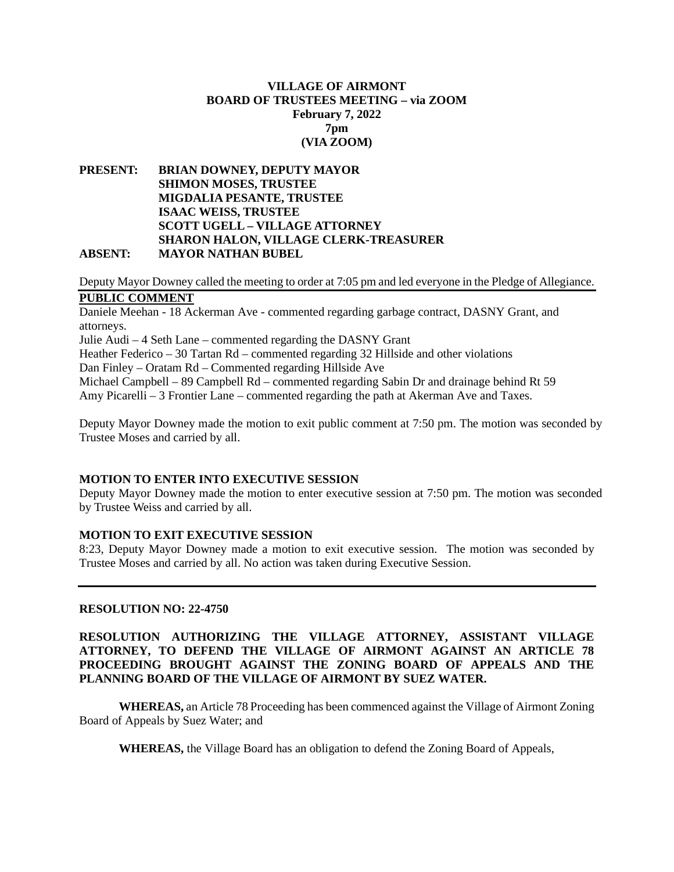## **VILLAGE OF AIRMONT BOARD OF TRUSTEES MEETING – via ZOOM February 7, 2022 7pm (VIA ZOOM)**

#### **PRESENT: BRIAN DOWNEY, DEPUTY MAYOR SHIMON MOSES, TRUSTEE MIGDALIA PESANTE, TRUSTEE ISAAC WEISS, TRUSTEE SCOTT UGELL – VILLAGE ATTORNEY SHARON HALON, VILLAGE CLERK-TREASURER ABSENT: MAYOR NATHAN BUBEL**

Deputy Mayor Downey called the meeting to order at 7:05 pm and led everyone in the Pledge of Allegiance. **PUBLIC COMMENT**

Daniele Meehan - 18 Ackerman Ave - commented regarding garbage contract, DASNY Grant, and attorneys.

Julie Audi – 4 Seth Lane – commented regarding the DASNY Grant

Heather Federico – 30 Tartan Rd – commented regarding 32 Hillside and other violations

Dan Finley – Oratam Rd – Commented regarding Hillside Ave

Michael Campbell – 89 Campbell Rd – commented regarding Sabin Dr and drainage behind Rt 59 Amy Picarelli – 3 Frontier Lane – commented regarding the path at Akerman Ave and Taxes.

Deputy Mayor Downey made the motion to exit public comment at 7:50 pm. The motion was seconded by Trustee Moses and carried by all.

## **MOTION TO ENTER INTO EXECUTIVE SESSION**

Deputy Mayor Downey made the motion to enter executive session at 7:50 pm. The motion was seconded by Trustee Weiss and carried by all.

#### **MOTION TO EXIT EXECUTIVE SESSION**

8:23, Deputy Mayor Downey made a motion to exit executive session. The motion was seconded by Trustee Moses and carried by all. No action was taken during Executive Session.

#### **RESOLUTION NO: 22-4750**

#### **RESOLUTION AUTHORIZING THE VILLAGE ATTORNEY, ASSISTANT VILLAGE ATTORNEY, TO DEFEND THE VILLAGE OF AIRMONT AGAINST AN ARTICLE 78 PROCEEDING BROUGHT AGAINST THE ZONING BOARD OF APPEALS AND THE PLANNING BOARD OF THE VILLAGE OF AIRMONT BY SUEZ WATER.**

**WHEREAS,** an Article 78 Proceeding has been commenced against the Village of Airmont Zoning Board of Appeals by Suez Water; and

**WHEREAS,** the Village Board has an obligation to defend the Zoning Board of Appeals,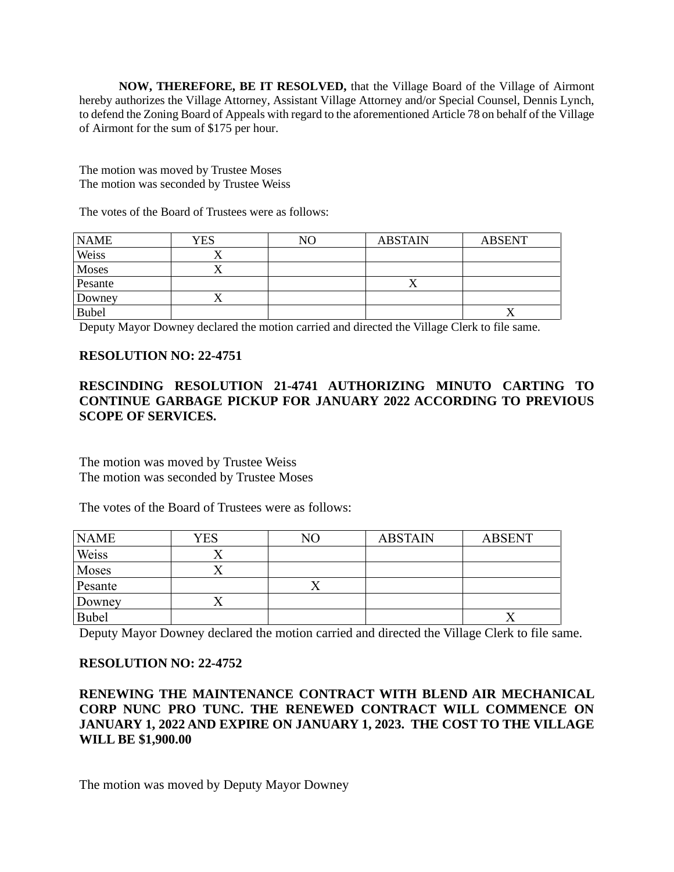**NOW, THEREFORE, BE IT RESOLVED,** that the Village Board of the Village of Airmont hereby authorizes the Village Attorney, Assistant Village Attorney and/or Special Counsel, Dennis Lynch, to defend the Zoning Board of Appeals with regard to the aforementioned Article 78 on behalf of the Village of Airmont for the sum of \$175 per hour.

The motion was moved by Trustee Moses The motion was seconded by Trustee Weiss

The votes of the Board of Trustees were as follows:

| <b>NAME</b>  | YES       | NO | <b>ABSTAIN</b> | <b>ABSENT</b> |
|--------------|-----------|----|----------------|---------------|
| Weiss        |           |    |                |               |
| Moses        | $\lambda$ |    |                |               |
| Pesante      |           |    | $\Lambda$      |               |
| Downey       | ′ \       |    |                |               |
| <b>Bubel</b> |           |    |                |               |

Deputy Mayor Downey declared the motion carried and directed the Village Clerk to file same.

## **RESOLUTION NO: 22-4751**

# **RESCINDING RESOLUTION 21-4741 AUTHORIZING MINUTO CARTING TO CONTINUE GARBAGE PICKUP FOR JANUARY 2022 ACCORDING TO PREVIOUS SCOPE OF SERVICES.**

The motion was moved by Trustee Weiss The motion was seconded by Trustee Moses

The votes of the Board of Trustees were as follows:

| <b>NAME</b>  | <b>YES</b> | NΟ | <b>ABSTAIN</b> | <b>ABSENT</b> |
|--------------|------------|----|----------------|---------------|
| Weiss        |            |    |                |               |
| Moses        |            |    |                |               |
| Pesante      |            |    |                |               |
| Downey       |            |    |                |               |
| <b>Bubel</b> |            |    |                |               |

Deputy Mayor Downey declared the motion carried and directed the Village Clerk to file same.

## **RESOLUTION NO: 22-4752**

# **RENEWING THE MAINTENANCE CONTRACT WITH BLEND AIR MECHANICAL CORP NUNC PRO TUNC. THE RENEWED CONTRACT WILL COMMENCE ON JANUARY 1, 2022 AND EXPIRE ON JANUARY 1, 2023. THE COST TO THE VILLAGE WILL BE \$1,900.00**

The motion was moved by Deputy Mayor Downey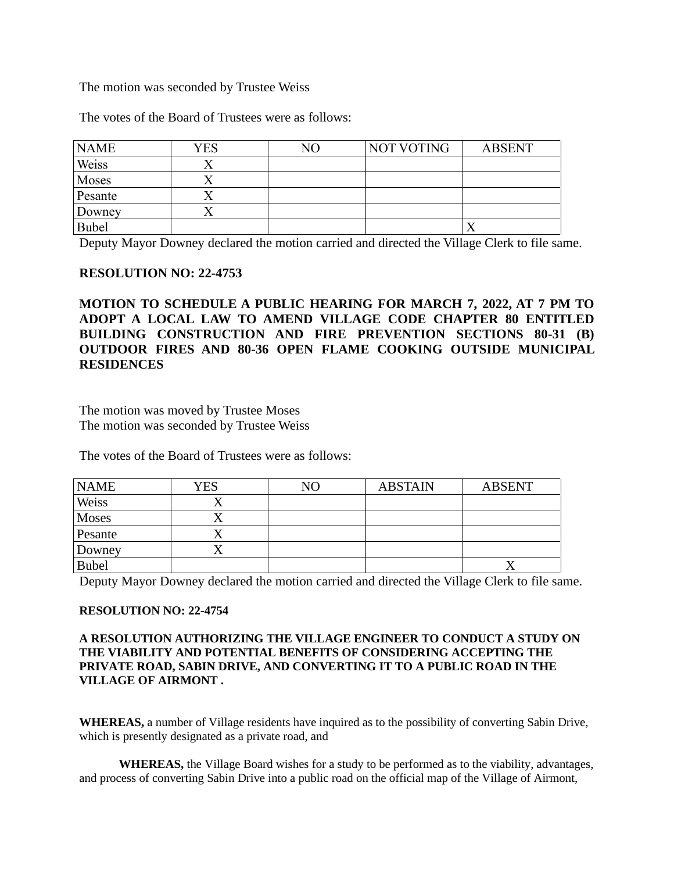The motion was seconded by Trustee Weiss

The votes of the Board of Trustees were as follows:

| <b>NAME</b> | <b>YES</b> | NΟ | NOT VOTING | <b>ABSENT</b> |
|-------------|------------|----|------------|---------------|
| Weiss       |            |    |            |               |
| Moses       |            |    |            |               |
| Pesante     |            |    |            |               |
| Downey      | ↗          |    |            |               |
| Bubel       |            |    |            |               |

Deputy Mayor Downey declared the motion carried and directed the Village Clerk to file same.

## **RESOLUTION NO: 22-4753**

**MOTION TO SCHEDULE A PUBLIC HEARING FOR MARCH 7, 2022, AT 7 PM TO ADOPT A LOCAL LAW TO AMEND VILLAGE CODE CHAPTER 80 ENTITLED BUILDING CONSTRUCTION AND FIRE PREVENTION SECTIONS 80-31 (B) OUTDOOR FIRES AND 80-36 OPEN FLAME COOKING OUTSIDE MUNICIPAL RESIDENCES**

The motion was moved by Trustee Moses The motion was seconded by Trustee Weiss

The votes of the Board of Trustees were as follows:

| <b>NAME</b>  | YES | N <sub>O</sub> | <b>ABSTAIN</b> | <b>ABSENT</b> |
|--------------|-----|----------------|----------------|---------------|
| Weiss        |     |                |                |               |
| <b>Moses</b> |     |                |                |               |
| Pesante      |     |                |                |               |
| Downey       |     |                |                |               |
| <b>Bubel</b> |     |                |                |               |

Deputy Mayor Downey declared the motion carried and directed the Village Clerk to file same.

## **RESOLUTION NO: 22-4754**

#### **A RESOLUTION AUTHORIZING THE VILLAGE ENGINEER TO CONDUCT A STUDY ON THE VIABILITY AND POTENTIAL BENEFITS OF CONSIDERING ACCEPTING THE PRIVATE ROAD, SABIN DRIVE, AND CONVERTING IT TO A PUBLIC ROAD IN THE VILLAGE OF AIRMONT .**

**WHEREAS,** a number of Village residents have inquired as to the possibility of converting Sabin Drive, which is presently designated as a private road, and

**WHEREAS,** the Village Board wishes for a study to be performed as to the viability, advantages, and process of converting Sabin Drive into a public road on the official map of the Village of Airmont,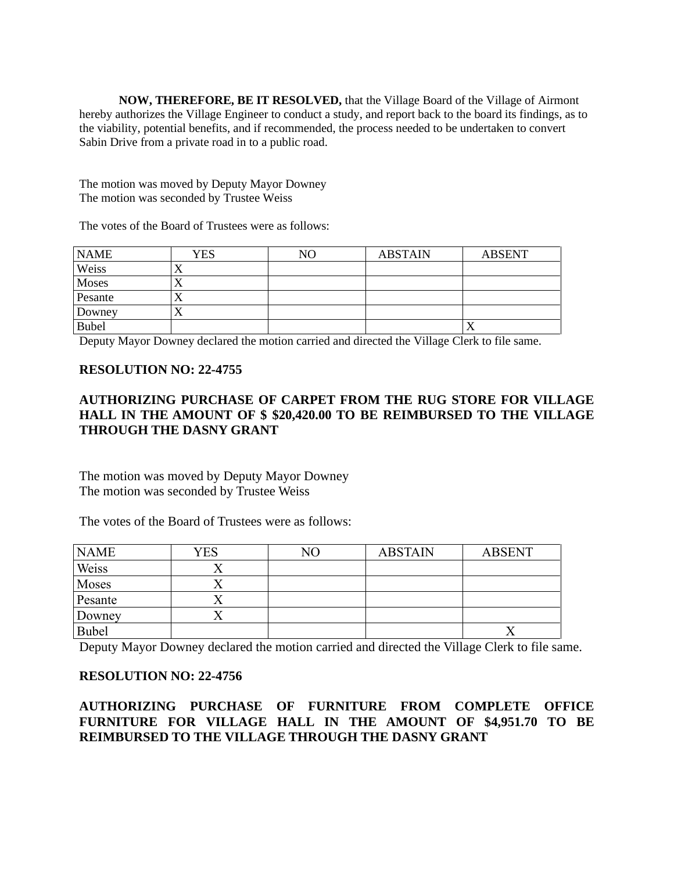**NOW, THEREFORE, BE IT RESOLVED,** that the Village Board of the Village of Airmont hereby authorizes the Village Engineer to conduct a study, and report back to the board its findings, as to the viability, potential benefits, and if recommended, the process needed to be undertaken to convert Sabin Drive from a private road in to a public road.

The motion was moved by Deputy Mayor Downey The motion was seconded by Trustee Weiss

The votes of the Board of Trustees were as follows:

| <b>NAME</b>  | <b>YES</b> | NΟ | <b>ABSTAIN</b> | <b>ABSENT</b> |
|--------------|------------|----|----------------|---------------|
| Weiss        |            |    |                |               |
| Moses        |            |    |                |               |
| Pesante      | ∡⊾         |    |                |               |
| Downey       | ′ ⊾        |    |                |               |
| <b>Bubel</b> |            |    |                | ∡             |

Deputy Mayor Downey declared the motion carried and directed the Village Clerk to file same.

## **RESOLUTION NO: 22-4755**

# **AUTHORIZING PURCHASE OF CARPET FROM THE RUG STORE FOR VILLAGE HALL IN THE AMOUNT OF \$ \$20,420.00 TO BE REIMBURSED TO THE VILLAGE THROUGH THE DASNY GRANT**

The motion was moved by Deputy Mayor Downey The motion was seconded by Trustee Weiss

The votes of the Board of Trustees were as follows:

| <b>NAME</b> | YES | NΟ | <b>ABSTAIN</b> | <b>ABSENT</b> |
|-------------|-----|----|----------------|---------------|
| Weiss       |     |    |                |               |
| Moses       |     |    |                |               |
| Pesante     |     |    |                |               |
| Downey      |     |    |                |               |
| Bubel       |     |    |                |               |

Deputy Mayor Downey declared the motion carried and directed the Village Clerk to file same.

## **RESOLUTION NO: 22-4756**

# **AUTHORIZING PURCHASE OF FURNITURE FROM COMPLETE OFFICE FURNITURE FOR VILLAGE HALL IN THE AMOUNT OF \$4,951.70 TO BE REIMBURSED TO THE VILLAGE THROUGH THE DASNY GRANT**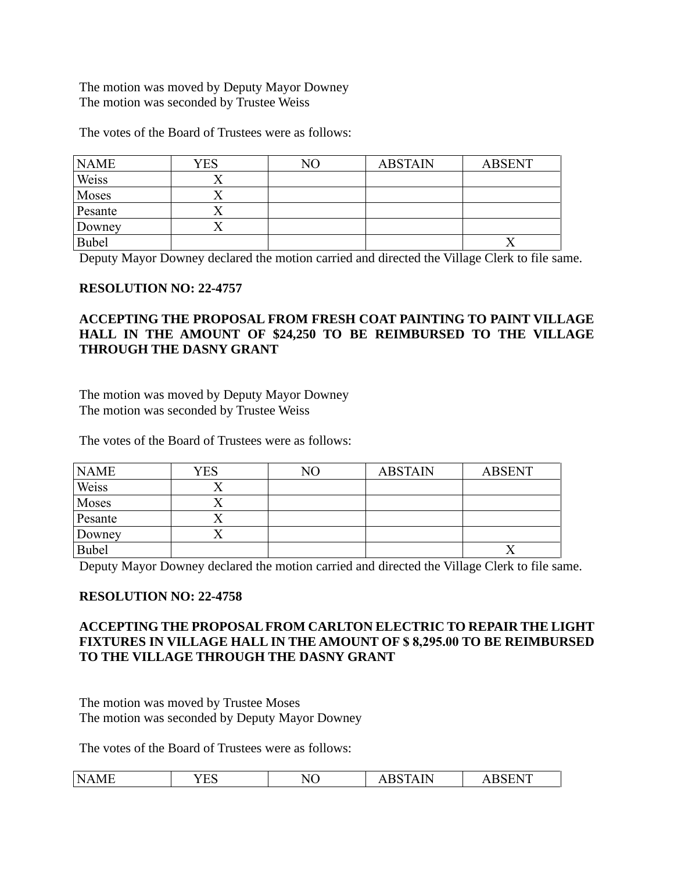The motion was moved by Deputy Mayor Downey The motion was seconded by Trustee Weiss

The votes of the Board of Trustees were as follows:

| <b>NAME</b>  | <b>YES</b> | NΟ | <b>ABSTAIN</b> | <b>ABSENT</b> |
|--------------|------------|----|----------------|---------------|
| Weiss        |            |    |                |               |
| Moses        |            |    |                |               |
| Pesante      |            |    |                |               |
| Downey       |            |    |                |               |
| <b>Bubel</b> |            |    |                |               |

Deputy Mayor Downey declared the motion carried and directed the Village Clerk to file same.

## **RESOLUTION NO: 22-4757**

# **ACCEPTING THE PROPOSAL FROM FRESH COAT PAINTING TO PAINT VILLAGE HALL IN THE AMOUNT OF \$24,250 TO BE REIMBURSED TO THE VILLAGE THROUGH THE DASNY GRANT**

The motion was moved by Deputy Mayor Downey The motion was seconded by Trustee Weiss

The votes of the Board of Trustees were as follows:

| <b>NAME</b> | <b>YES</b> | NO | <b>ABSTAIN</b> | <b>ABSENT</b> |
|-------------|------------|----|----------------|---------------|
| Weiss       |            |    |                |               |
| Moses       |            |    |                |               |
| Pesante     |            |    |                |               |
| Downey      |            |    |                |               |
| Bubel       |            |    |                |               |

Deputy Mayor Downey declared the motion carried and directed the Village Clerk to file same.

## **RESOLUTION NO: 22-4758**

# **ACCEPTING THE PROPOSAL FROM CARLTON ELECTRIC TO REPAIR THE LIGHT FIXTURES IN VILLAGE HALL IN THE AMOUNT OF \$ 8,295.00 TO BE REIMBURSED TO THE VILLAGE THROUGH THE DASNY GRANT**

The motion was moved by Trustee Moses The motion was seconded by Deputy Mayor Downey

The votes of the Board of Trustees were as follows:

| N | $\tau \Gamma C$ | $\mathbf{r}$ | .   | $\mathbf{r}$ |
|---|-----------------|--------------|-----|--------------|
| . |                 | N H          | .   | n            |
| . | حائط            | .NU          | . . | . .          |
|   |                 |              |     |              |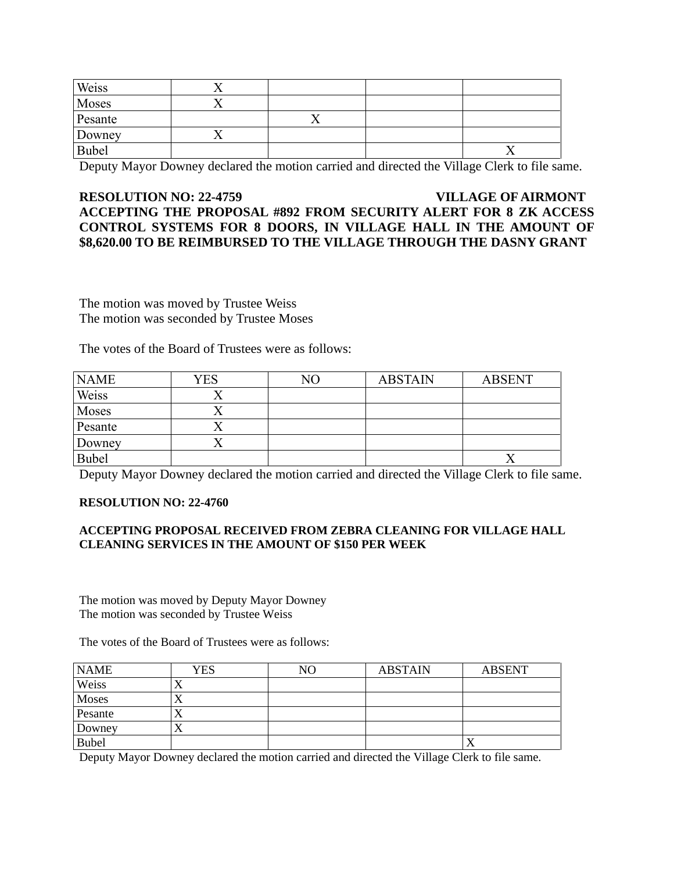| Weiss        |     |  |
|--------------|-----|--|
| Moses        |     |  |
| Pesante      | . . |  |
| Downey       |     |  |
| <b>Bubel</b> |     |  |

Deputy Mayor Downey declared the motion carried and directed the Village Clerk to file same.

# **RESOLUTION NO: 22-4759 VILLAGE OF AIRMONT ACCEPTING THE PROPOSAL #892 FROM SECURITY ALERT FOR 8 ZK ACCESS CONTROL SYSTEMS FOR 8 DOORS, IN VILLAGE HALL IN THE AMOUNT OF \$8,620.00 TO BE REIMBURSED TO THE VILLAGE THROUGH THE DASNY GRANT**

The motion was moved by Trustee Weiss The motion was seconded by Trustee Moses

The votes of the Board of Trustees were as follows:

| <b>NAME</b>  | YES | NΟ | <b>ABSTAIN</b> | <b>ABSENT</b> |
|--------------|-----|----|----------------|---------------|
| Weiss        |     |    |                |               |
| Moses        |     |    |                |               |
| Pesante      |     |    |                |               |
| Downey       |     |    |                |               |
| <b>Bubel</b> |     |    |                |               |

Deputy Mayor Downey declared the motion carried and directed the Village Clerk to file same.

#### **RESOLUTION NO: 22-4760**

### **ACCEPTING PROPOSAL RECEIVED FROM ZEBRA CLEANING FOR VILLAGE HALL CLEANING SERVICES IN THE AMOUNT OF \$150 PER WEEK**

The motion was moved by Deputy Mayor Downey The motion was seconded by Trustee Weiss

The votes of the Board of Trustees were as follows:

| <b>NAME</b>  | YES       | NO | <b>ABSTAIN</b> | <b>ABSENT</b> |
|--------------|-----------|----|----------------|---------------|
| Weiss        | $\lambda$ |    |                |               |
| <b>Moses</b> | ∡         |    |                |               |
| Pesante      | ∡         |    |                |               |
| Downey       | ୵⊾        |    |                |               |
| <b>Bubel</b> |           |    |                |               |

Deputy Mayor Downey declared the motion carried and directed the Village Clerk to file same.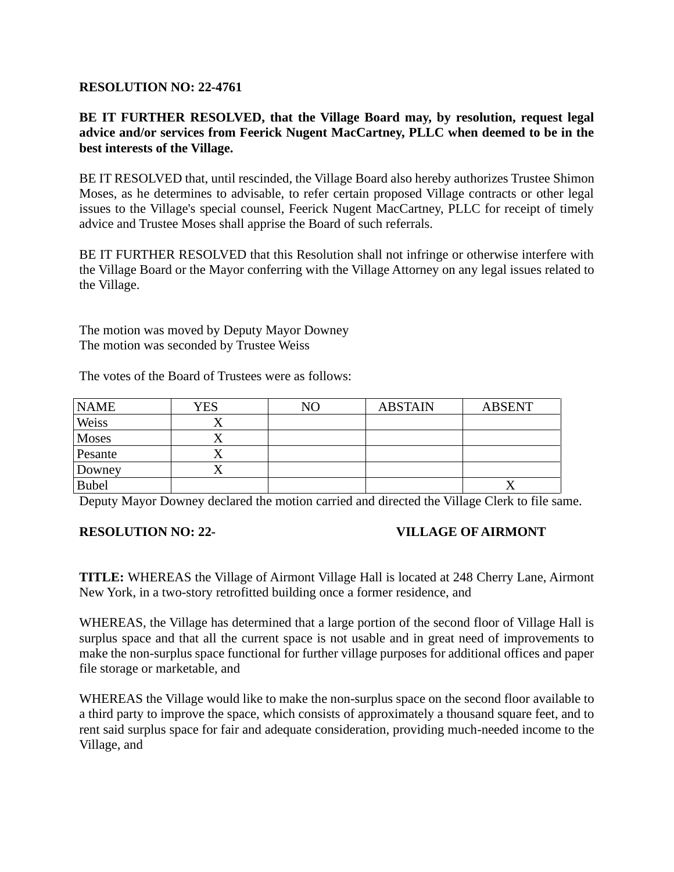## **RESOLUTION NO: 22-4761**

# **BE IT FURTHER RESOLVED, that the Village Board may, by resolution, request legal advice and/or services from Feerick Nugent MacCartney, PLLC when deemed to be in the best interests of the Village.**

BE IT RESOLVED that, until rescinded, the Village Board also hereby authorizes Trustee Shimon Moses, as he determines to advisable, to refer certain proposed Village contracts or other legal issues to the Village's special counsel, Feerick Nugent MacCartney, PLLC for receipt of timely advice and Trustee Moses shall apprise the Board of such referrals.

BE IT FURTHER RESOLVED that this Resolution shall not infringe or otherwise interfere with the Village Board or the Mayor conferring with the Village Attorney on any legal issues related to the Village.

The motion was moved by Deputy Mayor Downey The motion was seconded by Trustee Weiss

The votes of the Board of Trustees were as follows:

| <b>NAME</b>  | YES | NΟ | <b>ABSTAIN</b> | <b>ABSENT</b> |
|--------------|-----|----|----------------|---------------|
| Weiss        | ∡   |    |                |               |
| <b>Moses</b> | ↗   |    |                |               |
| Pesante      |     |    |                |               |
| Downey       |     |    |                |               |
| <b>Bubel</b> |     |    |                |               |

Deputy Mayor Downey declared the motion carried and directed the Village Clerk to file same.

## **RESOLUTION NO: 22- VILLAGE OF AIRMONT**

**TITLE:** WHEREAS the Village of Airmont Village Hall is located at 248 Cherry Lane, Airmont New York, in a two-story retrofitted building once a former residence, and

WHEREAS, the Village has determined that a large portion of the second floor of Village Hall is surplus space and that all the current space is not usable and in great need of improvements to make the non-surplus space functional for further village purposes for additional offices and paper file storage or marketable, and

WHEREAS the Village would like to make the non-surplus space on the second floor available to a third party to improve the space, which consists of approximately a thousand square feet, and to rent said surplus space for fair and adequate consideration, providing much-needed income to the Village, and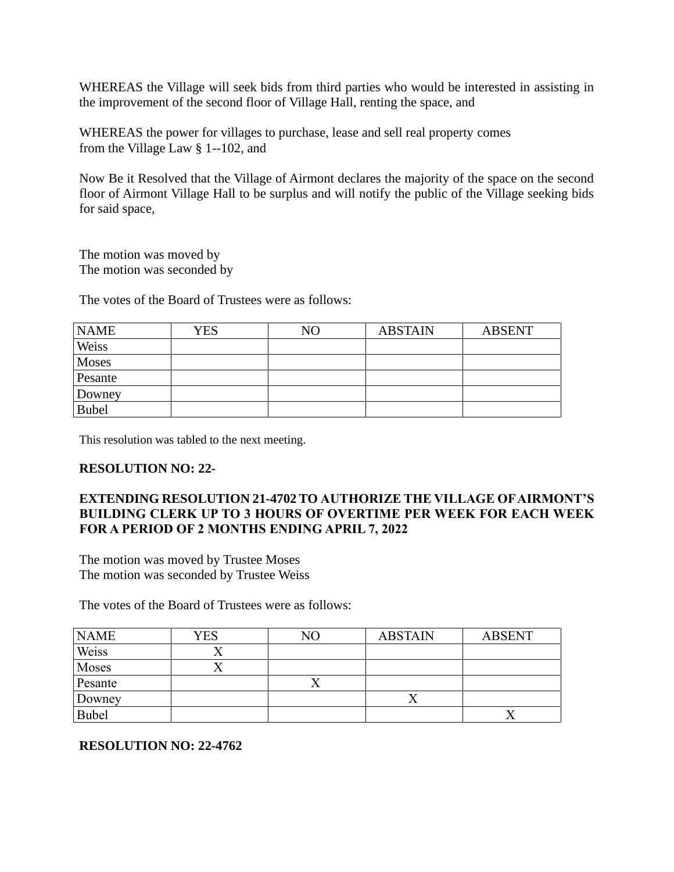WHEREAS the Village will seek bids from third parties who would be interested in assisting in the improvement of the second floor of Village Hall, renting the space, and

WHEREAS the power for villages to purchase, lease and sell real property comes from the Village Law  $\S$  1--102, and

Now Be it Resolved that the Village of Airmont declares the majority of the space on the second floor of Airmont Village Hall to be surplus and will notify the public of the Village seeking bids for said space,

The motion was moved by The motion was seconded by

The votes of the Board of Trustees were as follows:

| <b>NAME</b>  | YES | NO | <b>ABSTAIN</b> | <b>ABSENT</b> |
|--------------|-----|----|----------------|---------------|
| Weiss        |     |    |                |               |
| <b>Moses</b> |     |    |                |               |
| Pesante      |     |    |                |               |
| Downey       |     |    |                |               |
| <b>Bubel</b> |     |    |                |               |

This resolution was tabled to the next meeting.

## **RESOLUTION NO: 22-**

# **EXTENDING RESOLUTION 21-4702 TO AUTHORIZE THE VILLAGE OF AIRMONT'S BUILDING CLERK UP TO 3 HOURS OF OVERTIME PER WEEK FOR EACH WEEK FOR A PERIOD OF 2 MONTHS ENDING APRIL 7, 2022**

The motion was moved by Trustee Moses The motion was seconded by Trustee Weiss

The votes of the Board of Trustees were as follows:

| <b>NAME</b>  | <b>YES</b> | NΟ | <b>ABSTAIN</b> | <b>ABSENT</b> |
|--------------|------------|----|----------------|---------------|
| Weiss        |            |    |                |               |
| Moses        |            |    |                |               |
| Pesante      |            |    |                |               |
| Downey       |            |    |                |               |
| <b>Bubel</b> |            |    |                |               |

# **RESOLUTION NO: 22-4762**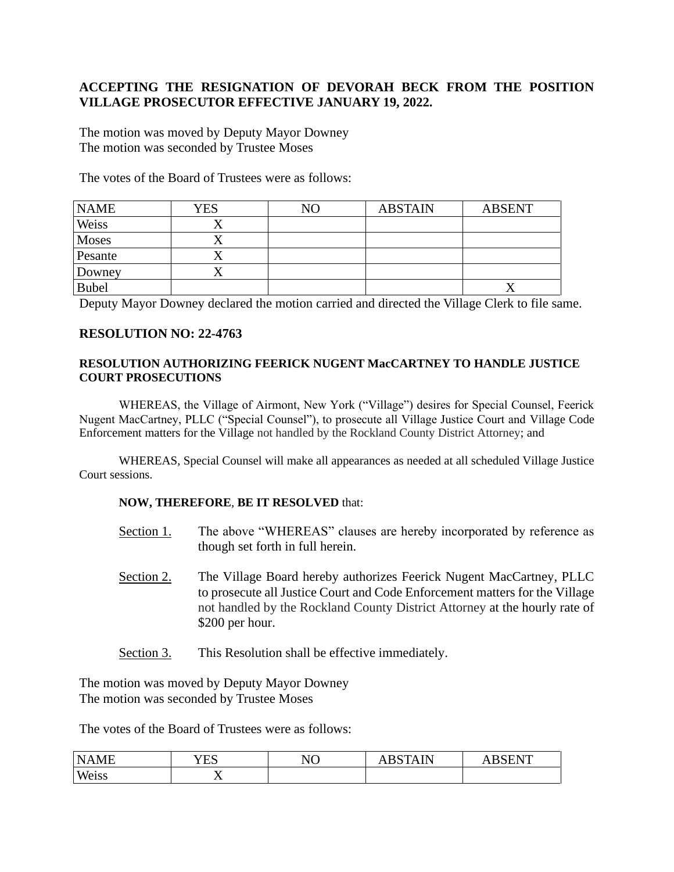# **ACCEPTING THE RESIGNATION OF DEVORAH BECK FROM THE POSITION VILLAGE PROSECUTOR EFFECTIVE JANUARY 19, 2022.**

The motion was moved by Deputy Mayor Downey The motion was seconded by Trustee Moses

The votes of the Board of Trustees were as follows:

| <b>NAME</b>  | YES | NO | <b>ABSTAIN</b> | <b>ABSENT</b> |
|--------------|-----|----|----------------|---------------|
| Weiss        |     |    |                |               |
| Moses        | ↗   |    |                |               |
| Pesante      |     |    |                |               |
| Downey       |     |    |                |               |
| <b>Bubel</b> |     |    |                |               |

Deputy Mayor Downey declared the motion carried and directed the Village Clerk to file same.

## **RESOLUTION NO: 22-4763**

### **RESOLUTION AUTHORIZING FEERICK NUGENT MacCARTNEY TO HANDLE JUSTICE COURT PROSECUTIONS**

WHEREAS, the Village of Airmont, New York ("Village") desires for Special Counsel, Feerick Nugent MacCartney, PLLC ("Special Counsel"), to prosecute all Village Justice Court and Village Code Enforcement matters for the Village not handled by the Rockland County District Attorney; and

WHEREAS, Special Counsel will make all appearances as needed at all scheduled Village Justice Court sessions.

#### **NOW, THEREFORE**, **BE IT RESOLVED** that:

- Section 1. The above "WHEREAS" clauses are hereby incorporated by reference as though set forth in full herein.
- Section 2. The Village Board hereby authorizes Feerick Nugent MacCartney, PLLC to prosecute all Justice Court and Code Enforcement matters for the Village not handled by the Rockland County District Attorney at the hourly rate of \$200 per hour.
- Section 3. This Resolution shall be effective immediately.

The motion was moved by Deputy Mayor Downey The motion was seconded by Trustee Moses

The votes of the Board of Trustees were as follows:

| NA<br>AME | $\sim$ $\sim$ $\sim$<br>′ н.<br>⊥ ∟∪ | NO | <b>AIN</b> | <b>SENT</b> |
|-----------|--------------------------------------|----|------------|-------------|
| Weiss     | - -<br>∡⊾<br>- -                     |    |            |             |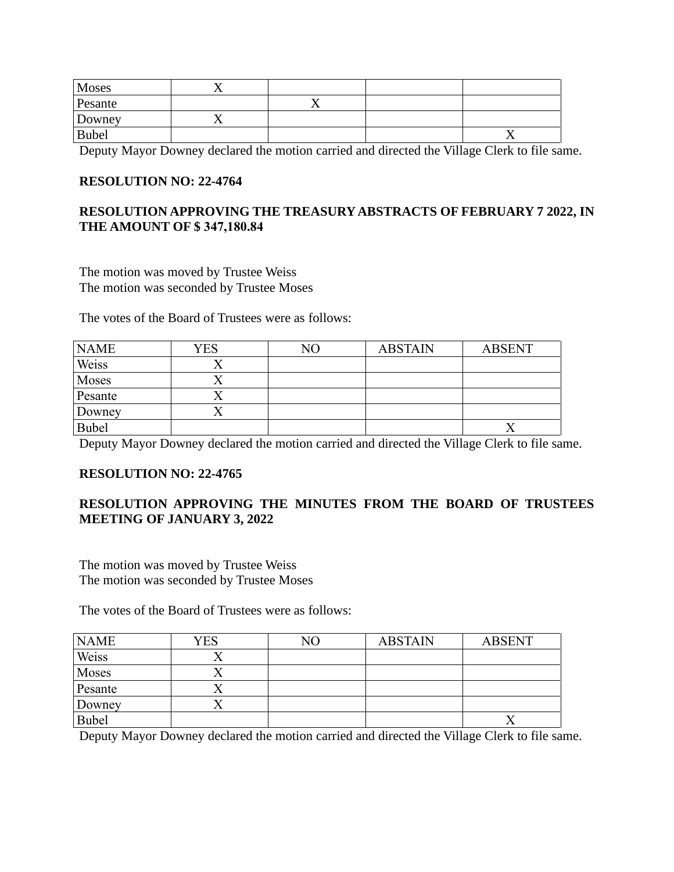| Moses        |  |  |
|--------------|--|--|
| Pesante      |  |  |
| Downey       |  |  |
| <b>Bubel</b> |  |  |

Deputy Mayor Downey declared the motion carried and directed the Village Clerk to file same.

# **RESOLUTION NO: 22-4764**

# **RESOLUTION APPROVING THE TREASURY ABSTRACTS OF FEBRUARY 7 2022, IN THE AMOUNT OF \$ 347,180.84**

The motion was moved by Trustee Weiss The motion was seconded by Trustee Moses

The votes of the Board of Trustees were as follows:

| <b>NAME</b>  | <b>YES</b> | NO | <b>ABSTAIN</b> | <b>ABSENT</b> |
|--------------|------------|----|----------------|---------------|
| Weiss        |            |    |                |               |
| Moses        |            |    |                |               |
| Pesante      |            |    |                |               |
| Downey       |            |    |                |               |
| <b>Bubel</b> |            |    |                |               |

Deputy Mayor Downey declared the motion carried and directed the Village Clerk to file same.

# **RESOLUTION NO: 22-4765**

# **RESOLUTION APPROVING THE MINUTES FROM THE BOARD OF TRUSTEES MEETING OF JANUARY 3, 2022**

The motion was moved by Trustee Weiss The motion was seconded by Trustee Moses

The votes of the Board of Trustees were as follows:

| <b>NAME</b> | YES | NΟ | <b>ABSTAIN</b> | <b>ABSENT</b> |
|-------------|-----|----|----------------|---------------|
| Weiss       |     |    |                |               |
| Moses       |     |    |                |               |
| Pesante     |     |    |                |               |
| Downey      |     |    |                |               |
| Bubel       |     |    |                |               |

Deputy Mayor Downey declared the motion carried and directed the Village Clerk to file same.